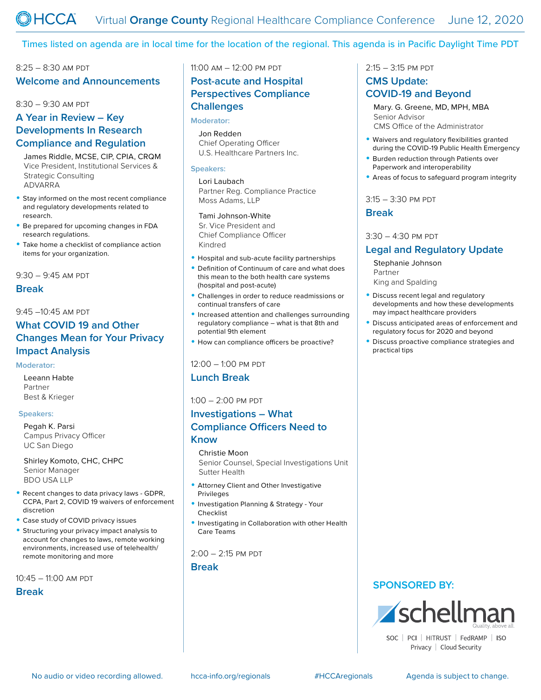### Times listed on agenda are in local time for the location of the regional. This agenda is in Pacific Daylight Time PDT

# 8:25 – 8:30 am pdt **Welcome and Announcements**

#### 8:30 – 9:30 am pdt

# **A Year in Review – Key Developments In Research Compliance and Regulation**

James Riddle, MCSE, CIP, CPIA, CRQM Vice President, Institutional Services & Strategic Consulting ADVARRA

- Stay informed on the most recent compliance and regulatory developments related to research.
- Be prepared for upcoming changes in FDA research regulations.
- Take home a checklist of compliance action items for your organization.

 $9:30 - 9:45$  AM PDT

#### **Break**

### 9:45 –10:45 am pdt

## **What COVID 19 and Other Changes Mean for Your Privacy Impact Analysis**

#### **Moderator:**

Leeann Habte Partner Best & Krieger

#### **Speakers:**

Pegah K. Parsi Campus Privacy Officer UC San Diego

Shirley Komoto, CHC, CHPC Senior Manager BDO USA LLP

- Recent changes to data privacy laws GDPR, CCPA, Part 2, COVID 19 waivers of enforcement discretion
- Case study of COVID privacy issues
- Structuring your privacy impact analysis to account for changes to laws, remote working environments, increased use of telehealth/ remote monitoring and more

10:45 – 11:00 am pdt

### **Break**

11:00 am – 12:00 pm pdt

## **Post-acute and Hospital Perspectives Compliance Challenges**

#### **Moderator:**

Jon Redden Chief Operating Officer U.S. Healthcare Partners Inc.

#### **Speakers:**

Lori Laubach Partner Reg. Compliance Practice Moss Adams, LLP

## Tami Johnson-White

Sr. Vice President and Chief Compliance Officer Kindred

- Hospital and sub-acute facility partnerships
- Definition of Continuum of care and what does this mean to the both health care systems (hospital and post-acute)
- Challenges in order to reduce readmissions or continual transfers of care
- Increased attention and challenges surrounding regulatory compliance – what is that 8th and potential 9th element
- How can compliance officers be proactive?

#### 12:00 – 1:00 pm pdt

### **Lunch Break**

### $1:00 - 2:00$  PM PDT

## **Investigations – What Compliance Officers Need to Know**

### Christie Moon

Senior Counsel, Special Investigations Unit Sutter Health

- Attorney Client and Other Investigative Privileges
- Investigation Planning & Strategy Your Checklist
- Investigating in Collaboration with other Health Care Teams

### $2:00 - 2:15$  PM PDT

**Break**

## 2:15 – 3:15 pm pdt

## **CMS Update: COVID-19 and Beyond**

Mary. G. Greene, MD, MPH, MBA Senior Advisor CMS Office of the Administrator

- Waivers and regulatory flexibilities granted during the COVID-19 Public Health Emergency
- Burden reduction through Patients over Paperwork and interoperability
- Areas of focus to safeguard program integrity

### 3:15 – 3:30 pm pdt

## **Break**

#### $3:30 - 4:30$  PM PDT

## **Legal and Regulatory Update**

Stephanie Johnson Partner King and Spalding

- Discuss recent legal and regulatory developments and how these developments may impact healthcare providers
- Discuss anticipated areas of enforcement and regulatory focus for 2020 and beyond
- Discuss proactive compliance strategies and practical tips

## **SPONSORED BY:**



Privacy | Cloud Security